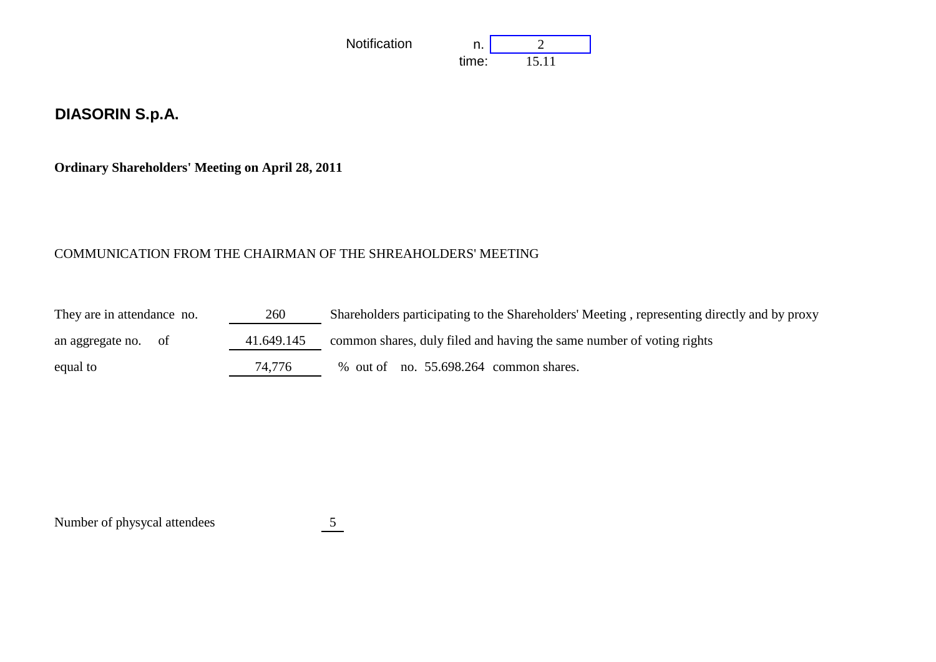

## **DIASORIN S.p.A.**

**Ordinary Shareholders' Meeting on April 28, 2011**

## COMMUNICATION FROM THE CHAIRMAN OF THE SHREAHOLDERS' MEETING

| They are in attendance no. | 260        | Shareholders participating to the Shareholders' Meeting, representing directly and by proxy |
|----------------------------|------------|---------------------------------------------------------------------------------------------|
| an aggregate no. of        | 41.649.145 | common shares, duly filed and having the same number of voting rights                       |
| equal to                   | 74,776     | % out of no. 55.698.264 common shares.                                                      |

Number of physycal attendees 5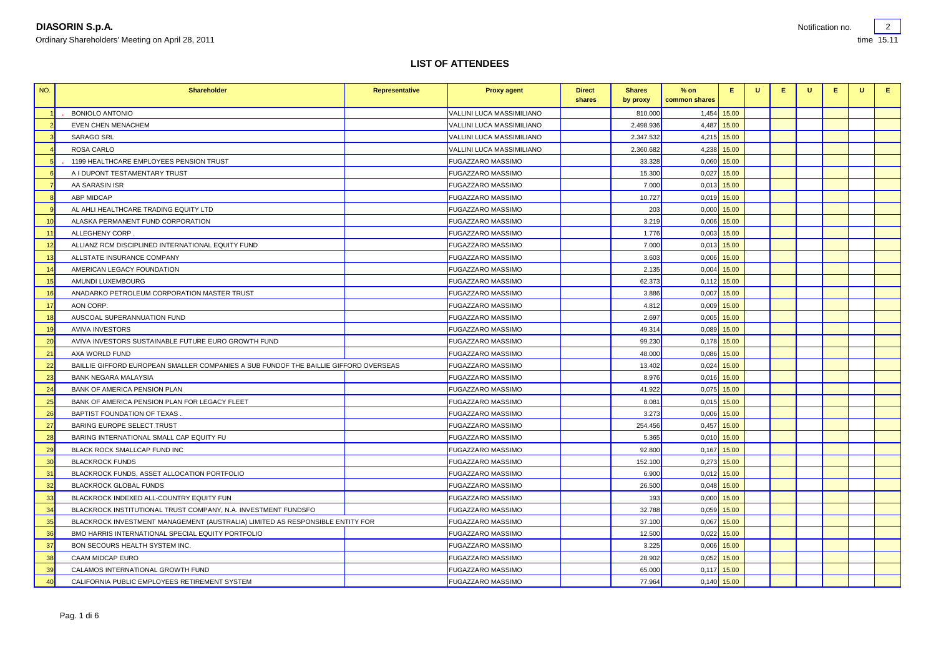time 15.11

## **LIST OF ATTENDEES**

| NO.            | <b>Shareholder</b>                                                                   | Representative | <b>Proxy agent</b>        | <b>Direct</b><br>shares | <b>Shares</b><br>by proxy | $%$ on<br>common shares | Е.            | U | E. | U | Е. | U | Е. |
|----------------|--------------------------------------------------------------------------------------|----------------|---------------------------|-------------------------|---------------------------|-------------------------|---------------|---|----|---|----|---|----|
|                | <b>BONIOLO ANTONIO</b>                                                               |                | VALLINI LUCA MASSIMILIANO |                         | 810.000                   | 1,454                   | 15.00         |   |    |   |    |   |    |
| $\overline{2}$ | <b>EVEN CHEN MENACHEM</b>                                                            |                | VALLINI LUCA MASSIMILIANO |                         | 2.498.936                 | 4,487                   | 15.00         |   |    |   |    |   |    |
| -3             | <b>SARAGO SRL</b>                                                                    |                | VALLINI LUCA MASSIMILIANO |                         | 2.347.532                 | 4,215                   | 15.00         |   |    |   |    |   |    |
|                | ROSA CARLO                                                                           |                | VALLINI LUCA MASSIMILIANO |                         | 2.360.682                 |                         | 4,238 15.00   |   |    |   |    |   |    |
| 5              | 1199 HEALTHCARE EMPLOYEES PENSION TRUST                                              |                | <b>FUGAZZARO MASSIMO</b>  |                         | 33.328                    | 0,060                   | 15.00         |   |    |   |    |   |    |
| -6             | A I DUPONT TESTAMENTARY TRUST                                                        |                | <b>FUGAZZARO MASSIMO</b>  |                         | 15.300                    | 0.027                   | 15.00         |   |    |   |    |   |    |
| - 7            | AA SARASIN ISR                                                                       |                | <b>FUGAZZARO MASSIMO</b>  |                         | 7.000                     | 0,013                   | 15.00         |   |    |   |    |   |    |
| $\mathbf{R}$   | <b>ABP MIDCAP</b>                                                                    |                | <b>FUGAZZARO MASSIMO</b>  |                         | 10.727                    | 0,019                   | 15.00         |   |    |   |    |   |    |
|                | AL AHLI HEALTHCARE TRADING EQUITY LTD                                                |                | <b>FUGAZZARO MASSIMO</b>  |                         | 203                       | 0,000                   | 15.00         |   |    |   |    |   |    |
| 10             | ALASKA PERMANENT FUND CORPORATION                                                    |                | <b>FUGAZZARO MASSIMO</b>  |                         | 3.219                     | 0,006                   | 15.00         |   |    |   |    |   |    |
| 11             | ALLEGHENY CORP                                                                       |                | <b>FUGAZZARO MASSIMO</b>  |                         | 1.776                     | 0,003                   | 15.00         |   |    |   |    |   |    |
| 12             | ALLIANZ RCM DISCIPLINED INTERNATIONAL EQUITY FUND                                    |                | <b>FUGAZZARO MASSIMO</b>  |                         | 7.000                     | 0,013                   | 15.00         |   |    |   |    |   |    |
| 13             | ALLSTATE INSURANCE COMPANY                                                           |                | <b>FUGAZZARO MASSIMO</b>  |                         | 3.603                     | 0,006                   | 15.00         |   |    |   |    |   |    |
| 14             | AMERICAN LEGACY FOUNDATION                                                           |                | <b>FUGAZZARO MASSIMO</b>  |                         | 2.135                     | 0,004                   | 15.00         |   |    |   |    |   |    |
| 15             | AMUNDI LUXEMBOURG                                                                    |                | <b>FUGAZZARO MASSIMO</b>  |                         | 62.373                    | 0,112                   | 15.00         |   |    |   |    |   |    |
| 16             | ANADARKO PETROLEUM CORPORATION MASTER TRUST                                          |                | <b>FUGAZZARO MASSIMO</b>  |                         | 3.886                     | 0,007                   | 15.00         |   |    |   |    |   |    |
| 17             | AON CORP.                                                                            |                | <b>FUGAZZARO MASSIMO</b>  |                         | 4.812                     | 0,009                   | 15.00         |   |    |   |    |   |    |
| 18             | AUSCOAL SUPERANNUATION FUND                                                          |                | <b>FUGAZZARO MASSIMO</b>  |                         | 2.697                     | 0,005                   | 15.00         |   |    |   |    |   |    |
| 19             | <b>AVIVA INVESTORS</b>                                                               |                | <b>FUGAZZARO MASSIMO</b>  |                         | 49.314                    | 0.089                   | 15.00         |   |    |   |    |   |    |
| 20             | AVIVA INVESTORS SUSTAINABLE FUTURE EURO GROWTH FUND                                  |                | <b>FUGAZZARO MASSIMO</b>  |                         | 99.230                    | 0,178                   | 15.00         |   |    |   |    |   |    |
| 21             | AXA WORLD FUND                                                                       |                | <b>FUGAZZARO MASSIMO</b>  |                         | 48.000                    | 0,086                   | 15.00         |   |    |   |    |   |    |
| 22             | BAILLIE GIFFORD EUROPEAN SMALLER COMPANIES A SUB FUNDOF THE BAILLIE GIFFORD OVERSEAS |                | <b>FUGAZZARO MASSIMO</b>  |                         | 13.402                    | 0,024                   | 15.00         |   |    |   |    |   |    |
| 23             | <b>BANK NEGARA MALAYSIA</b>                                                          |                | <b>FUGAZZARO MASSIMO</b>  |                         | 8.976                     | 0,016                   | 15.00         |   |    |   |    |   |    |
| 24             | BANK OF AMERICA PENSION PLAN                                                         |                | <b>FUGAZZARO MASSIMO</b>  |                         | 41.922                    | 0,075                   | 15.00         |   |    |   |    |   |    |
| 25             | BANK OF AMERICA PENSION PLAN FOR LEGACY FLEET                                        |                | <b>FUGAZZARO MASSIMO</b>  |                         | 8.081                     | 0,015                   | 15.00         |   |    |   |    |   |    |
| 26             | BAPTIST FOUNDATION OF TEXAS                                                          |                | <b>FUGAZZARO MASSIMO</b>  |                         | 3.273                     | 0,006                   | 15.00         |   |    |   |    |   |    |
| 27             | <b>BARING EUROPE SELECT TRUST</b>                                                    |                | <b>FUGAZZARO MASSIMO</b>  |                         | 254.456                   | 0,457                   | 15.00         |   |    |   |    |   |    |
| 28             | BARING INTERNATIONAL SMALL CAP EQUITY FU                                             |                | <b>FUGAZZARO MASSIMO</b>  |                         | 5.365                     | 0,010                   | 15.00         |   |    |   |    |   |    |
| 29             | BLACK ROCK SMALLCAP FUND INC                                                         |                | <b>FUGAZZARO MASSIMO</b>  |                         | 92.800                    | 0,167                   | 15.00         |   |    |   |    |   |    |
| 30             | <b>BLACKROCK FUNDS</b>                                                               |                | <b>FUGAZZARO MASSIMO</b>  |                         | 152.100                   | 0,273                   | 15.00         |   |    |   |    |   |    |
| 31             | BLACKROCK FUNDS, ASSET ALLOCATION PORTFOLIO                                          |                | <b>FUGAZZARO MASSIMO</b>  |                         | 6.900                     | 0,012                   | 15.00         |   |    |   |    |   |    |
| 32             | <b>BLACKROCK GLOBAL FUNDS</b>                                                        |                | <b>FUGAZZARO MASSIMO</b>  |                         | 26.500                    | 0,048                   | 15.00         |   |    |   |    |   |    |
| 33             | BLACKROCK INDEXED ALL-COUNTRY EQUITY FUN                                             |                | <b>FUGAZZARO MASSIMO</b>  |                         | 193                       | 0,000                   | 15.00         |   |    |   |    |   |    |
| 34             | BLACKROCK INSTITUTIONAL TRUST COMPANY, N.A. INVESTMENT FUNDSFO                       |                | <b>FUGAZZARO MASSIMO</b>  |                         | 32.788                    | 0,059                   | 15.00         |   |    |   |    |   |    |
| 35             | BLACKROCK INVESTMENT MANAGEMENT (AUSTRALIA) LIMITED AS RESPONSIBLE ENTITY FOR        |                | <b>FUGAZZARO MASSIMO</b>  |                         | 37,100                    |                         | $0.067$ 15.00 |   |    |   |    |   |    |
| 36             | BMO HARRIS INTERNATIONAL SPECIAL EQUITY PORTFOLIO                                    |                | <b>FUGAZZARO MASSIMO</b>  |                         | 12.500                    | 0,022                   | 15.00         |   |    |   |    |   |    |
| 37             | BON SECOURS HEALTH SYSTEM INC.                                                       |                | <b>FUGAZZARO MASSIMO</b>  |                         | 3.225                     | 0,006                   | 15.00         |   |    |   |    |   |    |
| 38             | CAAM MIDCAP EURO                                                                     |                | <b>FUGAZZARO MASSIMO</b>  |                         | 28.902                    | 0,052                   | 15.00         |   |    |   |    |   |    |
| 39             | CALAMOS INTERNATIONAL GROWTH FUND                                                    |                | <b>FUGAZZARO MASSIMO</b>  |                         | 65.000                    | 0,117                   | 15.00         |   |    |   |    |   |    |
| 40             | CALIFORNIA PUBLIC EMPLOYEES RETIREMENT SYSTEM                                        |                | <b>FUGAZZARO MASSIMO</b>  |                         | 77.964                    | 0,140                   | 15.00         |   |    |   |    |   |    |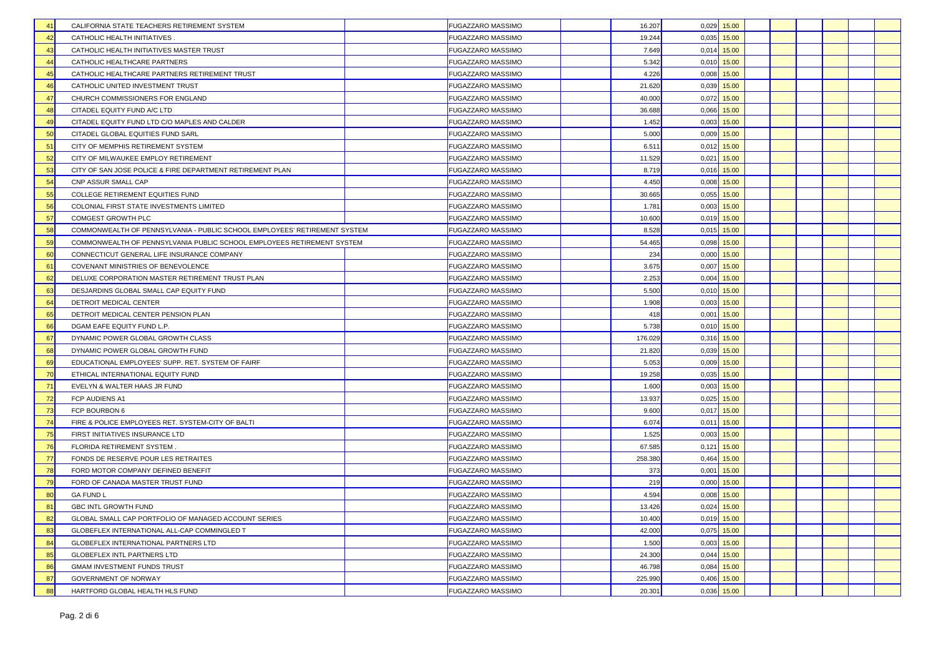| CALIFORNIA STATE TEACHERS RETIREMENT SYSTEM<br>41                               | <b>FUGAZZARO MASSIMO</b> | 16.207  |       | $0,029$ 15.00 |  |  |
|---------------------------------------------------------------------------------|--------------------------|---------|-------|---------------|--|--|
| 42<br>CATHOLIC HEALTH INITIATIVES                                               | <b>FUGAZZARO MASSIMO</b> | 19.244  | 0,035 | 15.00         |  |  |
| 43<br>CATHOLIC HEALTH INITIATIVES MASTER TRUST                                  | <b>FUGAZZARO MASSIMO</b> | 7.649   |       | $0.014$ 15.00 |  |  |
| 44<br>CATHOLIC HEALTHCARE PARTNERS                                              | <b>FUGAZZARO MASSIMO</b> | 5.342   |       | $0,010$ 15.00 |  |  |
| 45<br>CATHOLIC HEALTHCARE PARTNERS RETIREMENT TRUST                             | <b>FUGAZZARO MASSIMO</b> | 4.226   | 0,008 | 15.00         |  |  |
| 46<br>CATHOLIC UNITED INVESTMENT TRUST                                          | <b>FUGAZZARO MASSIMO</b> | 21.620  |       | $0,039$ 15.00 |  |  |
| 47<br>CHURCH COMMISSIONERS FOR ENGLAND                                          | <b>FUGAZZARO MASSIMO</b> | 40.000  |       | $0,072$ 15.00 |  |  |
| 48<br>CITADEL EQUITY FUND A/C LTD                                               | <b>FUGAZZARO MASSIMO</b> | 36.688  | 0,066 | 15.00         |  |  |
| 49<br>CITADEL EQUITY FUND LTD C/O MAPLES AND CALDER                             | <b>FUGAZZARO MASSIMO</b> | 1.452   | 0,003 | 15.00         |  |  |
| CITADEL GLOBAL EQUITIES FUND SARL<br>50                                         | <b>FUGAZZARO MASSIMO</b> | 5.000   |       | $0,009$ 15.00 |  |  |
| 51<br>CITY OF MEMPHIS RETIREMENT SYSTEM                                         | <b>FUGAZZARO MASSIMO</b> | 6.511   | 0,012 | 15.00         |  |  |
| CITY OF MILWAUKEE EMPLOY RETIREMENT<br>52                                       | <b>FUGAZZARO MASSIMO</b> | 11.529  | 0.021 | 15.00         |  |  |
| 53<br>CITY OF SAN JOSE POLICE & FIRE DEPARTMENT RETIREMENT PLAN                 | <b>FUGAZZARO MASSIMO</b> | 8.719   | 0,016 | 15.00         |  |  |
| 54<br>CNP ASSUR SMALL CAP                                                       | <b>FUGAZZARO MASSIMO</b> | 4.450   | 0,008 | 15.00         |  |  |
| 55<br>COLLEGE RETIREMENT EQUITIES FUND                                          | <b>FUGAZZARO MASSIMO</b> | 30.665  |       | $0,055$ 15.00 |  |  |
| 56<br>COLONIAL FIRST STATE INVESTMENTS LIMITED                                  | <b>FUGAZZARO MASSIMO</b> | 1.781   |       | $0,003$ 15.00 |  |  |
| 57<br>COMGEST GROWTH PLC                                                        | <b>FUGAZZARO MASSIMO</b> | 10.600  |       | $0,019$ 15.00 |  |  |
| 58<br>COMMONWEALTH OF PENNSYLVANIA - PUBLIC SCHOOL EMPLOYEES' RETIREMENT SYSTEM | <b>FUGAZZARO MASSIMO</b> | 8.528   | 0,015 | 15.00         |  |  |
| 59<br>COMMONWEALTH OF PENNSYLVANIA PUBLIC SCHOOL EMPLOYEES RETIREMENT SYSTEM    | <b>FUGAZZARO MASSIMO</b> | 54.465  | 0,098 | 15.00         |  |  |
| 60<br>CONNECTICUT GENERAL LIFE INSURANCE COMPANY                                | <b>FUGAZZARO MASSIMO</b> | 234     | 0,000 | 15.00         |  |  |
| 61<br>COVENANT MINISTRIES OF BENEVOLENCE                                        | <b>FUGAZZARO MASSIMO</b> | 3.675   |       | $0,007$ 15.00 |  |  |
| 62<br>DELUXE CORPORATION MASTER RETIREMENT TRUST PLAN                           | <b>FUGAZZARO MASSIMO</b> | 2.253   | 0.004 | 15.00         |  |  |
| 63<br>DESJARDINS GLOBAL SMALL CAP EQUITY FUND                                   | <b>FUGAZZARO MASSIMO</b> | 5.500   |       | $0,010$ 15.00 |  |  |
| 64<br>DETROIT MEDICAL CENTER                                                    | <b>FUGAZZARO MASSIMO</b> | 1.908   |       | $0,003$ 15.00 |  |  |
| 65<br>DETROIT MEDICAL CENTER PENSION PLAN                                       | <b>FUGAZZARO MASSIMO</b> | 418     |       | $0,001$ 15.00 |  |  |
| DGAM EAFE EQUITY FUND L.P.<br>66                                                | <b>FUGAZZARO MASSIMO</b> | 5.738   |       | $0,010$ 15.00 |  |  |
| 67<br>DYNAMIC POWER GLOBAL GROWTH CLASS                                         | <b>FUGAZZARO MASSIMO</b> | 176.029 | 0,316 | 15.00         |  |  |
| DYNAMIC POWER GLOBAL GROWTH FUND<br>68                                          | <b>FUGAZZARO MASSIMO</b> | 21.820  | 0,039 | 15.00         |  |  |
| EDUCATIONAL EMPLOYEES' SUPP. RET. SYSTEM OF FAIRF<br>69                         | <b>FUGAZZARO MASSIMO</b> | 5.053   | 0,009 | 15.00         |  |  |
| ETHICAL INTERNATIONAL EQUITY FUND<br>70                                         | <b>FUGAZZARO MASSIMO</b> | 19.258  | 0,035 | 15.00         |  |  |
| 71<br>EVELYN & WALTER HAAS JR FUND                                              | <b>FUGAZZARO MASSIMO</b> | 1.600   | 0,003 | 15.00         |  |  |
| 72<br>FCP AUDIENS A1                                                            | <b>FUGAZZARO MASSIMO</b> | 13.937  | 0,025 | 15.00         |  |  |
| 73<br>FCP BOURBON 6                                                             | <b>FUGAZZARO MASSIMO</b> | 9.600   |       | $0,017$ 15.00 |  |  |
| 74<br>FIRE & POLICE EMPLOYEES RET. SYSTEM-CITY OF BALTI                         | <b>FUGAZZARO MASSIMO</b> | 6.074   |       | $0.011$ 15.00 |  |  |
| 75<br>FIRST INITIATIVES INSURANCE LTD                                           | <b>FUGAZZARO MASSIMO</b> | 1.525   |       | $0,003$ 15.00 |  |  |
| 76<br>FLORIDA RETIREMENT SYSTEM                                                 | <b>FUGAZZARO MASSIMO</b> | 67.585  | 0,121 | 15.00         |  |  |
| 77<br>FONDS DE RESERVE POUR LES RETRAITES                                       | <b>FUGAZZARO MASSIMO</b> | 258.380 | 0,464 | 15.00         |  |  |
| 78<br>FORD MOTOR COMPANY DEFINED BENEFIT                                        | <b>FUGAZZARO MASSIMO</b> | 373     | 0,001 | 15.00         |  |  |
| 79<br>FORD OF CANADA MASTER TRUST FUND                                          | <b>FUGAZZARO MASSIMO</b> | 219     | 0.000 | 15.00         |  |  |
| 80<br><b>GA FUND L</b>                                                          | <b>FUGAZZARO MASSIMO</b> | 4.594   | 0.008 | 15.00         |  |  |
| 81<br>GBC INTL GROWTH FUND                                                      | <b>FUGAZZARO MASSIMO</b> | 13.426  | 0,024 | 15.00         |  |  |
| 82<br>GLOBAL SMALL CAP PORTFOLIO OF MANAGED ACCOUNT SERIES                      | <b>FUGAZZARO MASSIMO</b> | 10.400  |       | $0,019$ 15.00 |  |  |
| 83<br>GLOBEFLEX INTERNATIONAL ALL-CAP COMMINGLED T                              | <b>FUGAZZARO MASSIMO</b> | 42.000  |       | $0.075$ 15.00 |  |  |
| GLOBEFLEX INTERNATIONAL PARTNERS LTD<br>84                                      | <b>FUGAZZARO MASSIMO</b> | 1.500   |       | $0,003$ 15.00 |  |  |
| 85<br><b>GLOBEFLEX INTL PARTNERS LTD</b>                                        | <b>FUGAZZARO MASSIMO</b> | 24.300  |       | $0,044$ 15.00 |  |  |
| GMAM INVESTMENT FUNDS TRUST<br>86                                               | <b>FUGAZZARO MASSIMO</b> | 46.798  | 0,084 | 15.00         |  |  |
| 87<br><b>GOVERNMENT OF NORWAY</b>                                               | <b>FUGAZZARO MASSIMO</b> | 225.990 | 0,406 | 15.00         |  |  |
| 88<br>HARTFORD GLOBAL HEALTH HLS FUND                                           | <b>FUGAZZARO MASSIMO</b> | 20.301  | 0,036 | 15.00         |  |  |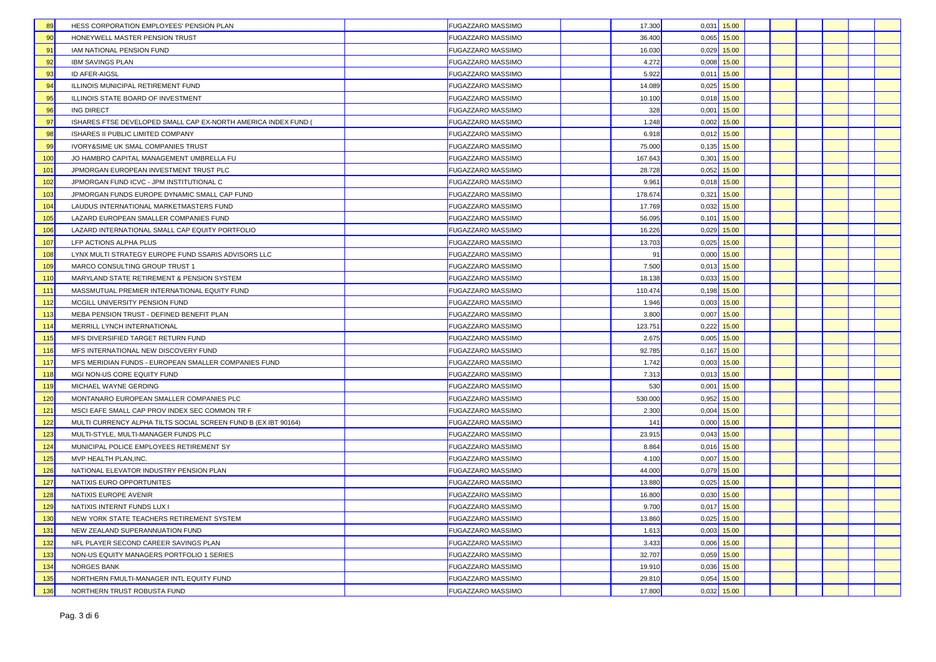| 89<br>HESS CORPORATION EMPLOYEES' PENSION PLAN                        | <b>FUGAZZARO MASSIMO</b> | 17.300  |       | $0,031$ 15.00 |  |  |  |
|-----------------------------------------------------------------------|--------------------------|---------|-------|---------------|--|--|--|
| 90<br>HONEYWELL MASTER PENSION TRUST                                  | <b>FUGAZZARO MASSIMO</b> | 36.400  | 0,065 | 15.00         |  |  |  |
| IAM NATIONAL PENSION FUND<br>91                                       | <b>FUGAZZARO MASSIMO</b> | 16.030  | 0,029 | 15.00         |  |  |  |
| 92<br>IBM SAVINGS PLAN                                                | <b>FUGAZZARO MASSIMO</b> | 4.272   | 0.008 | 15.00         |  |  |  |
| 93<br>ID AFER-AIGSL                                                   | <b>FUGAZZARO MASSIMO</b> | 5.922   | 0,011 | 15.00         |  |  |  |
| 94<br>ILLINOIS MUNICIPAL RETIREMENT FUND                              | <b>FUGAZZARO MASSIMO</b> | 14.089  |       | $0.025$ 15.00 |  |  |  |
| 95<br>ILLINOIS STATE BOARD OF INVESTMENT                              | <b>FUGAZZARO MASSIMO</b> | 10.100  |       | $0.018$ 15.00 |  |  |  |
| 96<br><b>ING DIRECT</b>                                               | <b>FUGAZZARO MASSIMO</b> | 328     |       | $0,001$ 15.00 |  |  |  |
| 97<br>ISHARES FTSE DEVELOPED SMALL CAP EX-NORTH AMERICA INDEX FUND    | <b>FUGAZZARO MASSIMO</b> | 1.248   |       | $0,002$ 15.00 |  |  |  |
| 98<br>ISHARES II PUBLIC LIMITED COMPANY                               | <b>FUGAZZARO MASSIMO</b> | 6.918   |       | $0,012$ 15.00 |  |  |  |
| 99<br>IVORY&SIME UK SMAL COMPANIES TRUST                              | <b>FUGAZZARO MASSIMO</b> | 75.000  | 0,135 | 15.00         |  |  |  |
| 100<br>JO HAMBRO CAPITAL MANAGEMENT UMBRELLA FU                       | <b>FUGAZZARO MASSIMO</b> | 167.643 | 0,301 | 15.00         |  |  |  |
| 101<br>JPMORGAN EUROPEAN INVESTMENT TRUST PLC                         | <b>FUGAZZARO MASSIMO</b> | 28.728  | 0,052 | 15.00         |  |  |  |
| 102<br>JPMORGAN FUND ICVC - JPM INSTITUTIONAL C                       | <b>FUGAZZARO MASSIMO</b> | 9.961   |       | $0,018$ 15.00 |  |  |  |
| 103<br>JPMORGAN FUNDS EUROPE DYNAMIC SMALL CAP FUND                   | <b>FUGAZZARO MASSIMO</b> | 178.674 |       | $0,321$ 15.00 |  |  |  |
| 104<br>LAUDUS INTERNATIONAL MARKETMASTERS FUND                        | <b>FUGAZZARO MASSIMO</b> | 17.769  |       | $0.032$ 15.00 |  |  |  |
| LAZARD EUROPEAN SMALLER COMPANIES FUND<br>105                         | <b>FUGAZZARO MASSIMO</b> | 56,095  |       | $0,101$ 15.00 |  |  |  |
| 106<br>LAZARD INTERNATIONAL SMALL CAP EQUITY PORTFOLIO                | <b>FUGAZZARO MASSIMO</b> | 16.226  | 0,029 | 15.00         |  |  |  |
| 107<br>LFP ACTIONS ALPHA PLUS                                         | <b>FUGAZZARO MASSIMO</b> | 13.703  | 0,025 | 15.00         |  |  |  |
| 108<br>LYNX MULTI STRATEGY EUROPE FUND SSARIS ADVISORS LLC            | <b>FUGAZZARO MASSIMO</b> | 91      | 0,000 | 15.00         |  |  |  |
| MARCO CONSULTING GROUP TRUST 1<br>109                                 | <b>FUGAZZARO MASSIMO</b> | 7.500   |       | $0.013$ 15.00 |  |  |  |
| MARYLAND STATE RETIREMENT & PENSION SYSTEM<br>110                     | <b>FUGAZZARO MASSIMO</b> | 18.138  | 0,033 | 15.00         |  |  |  |
| MASSMUTUAL PREMIER INTERNATIONAL EQUITY FUND<br>111                   | <b>FUGAZZARO MASSIMO</b> | 110.474 | 0,198 | 15.00         |  |  |  |
| 112<br>MCGILL UNIVERSITY PENSION FUND                                 | <b>FUGAZZARO MASSIMO</b> | 1.946   |       | $0,003$ 15.00 |  |  |  |
| 113<br>MEBA PENSION TRUST - DEFINED BENEFIT PLAN                      | <b>FUGAZZARO MASSIMO</b> | 3.800   |       | $0,007$ 15.00 |  |  |  |
| MERRILL LYNCH INTERNATIONAL<br>114                                    | <b>FUGAZZARO MASSIMO</b> | 123.751 |       | $0,222$ 15.00 |  |  |  |
| 115<br>MFS DIVERSIFIED TARGET RETURN FUND                             | <b>FUGAZZARO MASSIMO</b> | 2.675   |       | $0,005$ 15.00 |  |  |  |
| MFS INTERNATIONAL NEW DISCOVERY FUND<br>116                           | <b>FUGAZZARO MASSIMO</b> | 92.785  |       | $0,167$ 15.00 |  |  |  |
| 117<br>MFS MERIDIAN FUNDS - EUROPEAN SMALLER COMPANIES FUND           | <b>FUGAZZARO MASSIMO</b> | 1.742   | 0,003 | 15.00         |  |  |  |
| 118<br>MGI NON-US CORE EQUITY FUND                                    | <b>FUGAZZARO MASSIMO</b> | 7.313   |       | $0.013$ 15.00 |  |  |  |
| 119<br>MICHAEL WAYNE GERDING                                          | <b>FUGAZZARO MASSIMO</b> | 530     | 0.001 | 15.00         |  |  |  |
| 120<br>MONTANARO EUROPEAN SMALLER COMPANIES PLC                       | <b>FUGAZZARO MASSIMO</b> | 530.000 | 0,952 | 15.00         |  |  |  |
| MSCI EAFE SMALL CAP PROV INDEX SEC COMMON TR F<br>121                 | <b>FUGAZZARO MASSIMO</b> | 2.300   | 0,004 | 15.00         |  |  |  |
| 122<br>MULTI CURRENCY ALPHA TILTS SOCIAL SCREEN FUND B (EX IBT 90164) | <b>FUGAZZARO MASSIMO</b> | 141     |       | $0,000$ 15.00 |  |  |  |
| MULTI-STYLE, MULTI-MANAGER FUNDS PLC<br>123                           | <b>FUGAZZARO MASSIMO</b> | 23.915  |       | $0,043$ 15.00 |  |  |  |
| 124<br>MUNICIPAL POLICE EMPLOYEES RETIREMENT SY                       | <b>FUGAZZARO MASSIMO</b> | 8.864   |       | $0,016$ 15.00 |  |  |  |
| 125<br>MVP HEALTH PLAN, INC.                                          | <b>FUGAZZARO MASSIMO</b> | 4.100   |       | $0,007$ 15.00 |  |  |  |
| 126<br>NATIONAL ELEVATOR INDUSTRY PENSION PLAN                        | <b>FUGAZZARO MASSIMO</b> | 44.000  | 0,079 | 15.00         |  |  |  |
| 127<br>NATIXIS EURO OPPORTUNITES                                      | <b>FUGAZZARO MASSIMO</b> | 13.880  | 0,025 | 15.00         |  |  |  |
| 128<br>NATIXIS EUROPE AVENIR                                          | <b>FUGAZZARO MASSIMO</b> | 16.800  | 0,030 | 15.00         |  |  |  |
| 129<br>NATIXIS INTERNT FUNDS LUX I                                    | <b>FUGAZZARO MASSIMO</b> | 9.700   |       | $0,017$ 15.00 |  |  |  |
| 130<br>NEW YORK STATE TEACHERS RETIREMENT SYSTEM                      | <b>FUGAZZARO MASSIMO</b> | 13.860  |       | $0,025$ 15.00 |  |  |  |
| 131<br>NEW ZEALAND SUPERANNUATION FUND                                | <b>FUGAZZARO MASSIMO</b> | 1.613   |       | $0.003$ 15.00 |  |  |  |
| NFL PLAYER SECOND CAREER SAVINGS PLAN<br>132                          | <b>FUGAZZARO MASSIMO</b> | 3.433   |       | $0,006$ 15.00 |  |  |  |
| 133<br>NON-US EQUITY MANAGERS PORTFOLIO 1 SERIES                      | <b>FUGAZZARO MASSIMO</b> | 32.707  |       | $0,059$ 15.00 |  |  |  |
| 134<br><b>NORGES BANK</b>                                             | <b>FUGAZZARO MASSIMO</b> | 19.910  | 0,036 | 15.00         |  |  |  |
| 135<br>NORTHERN FMULTI-MANAGER INTL EQUITY FUND                       | <b>FUGAZZARO MASSIMO</b> | 29.810  | 0,054 | 15.00         |  |  |  |
| 136<br>NORTHERN TRUST ROBUSTA FUND                                    | <b>FUGAZZARO MASSIMO</b> | 17.800  | 0,032 | 15.00         |  |  |  |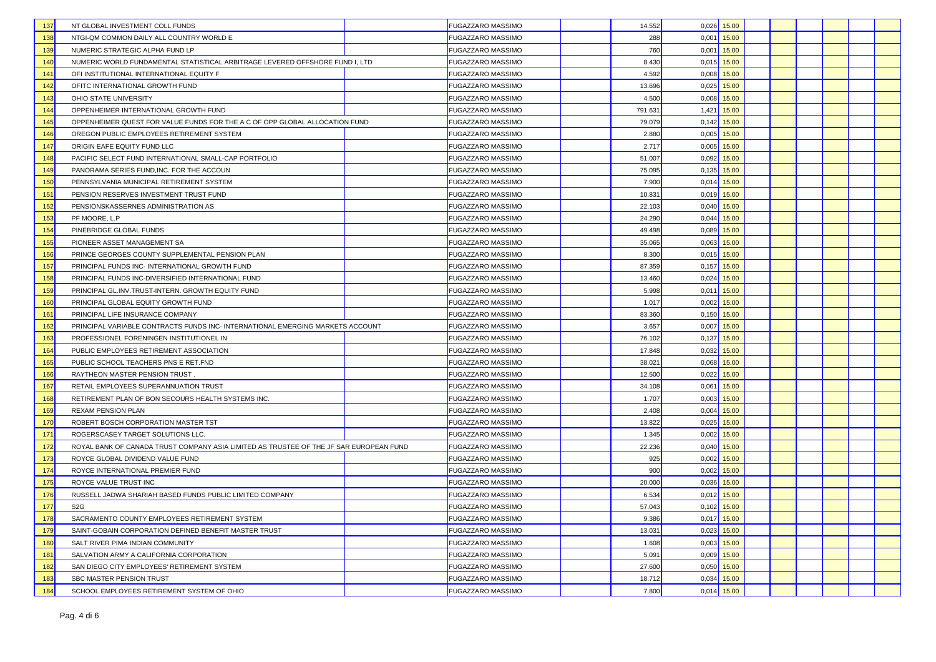| NT GLOBAL INVESTMENT COLL FUNDS<br>137                                                        | <b>FUGAZZARO MASSIMO</b> | 14.552  |       | $0,026$ 15.00 |  |  |  |
|-----------------------------------------------------------------------------------------------|--------------------------|---------|-------|---------------|--|--|--|
| 138<br>NTGI-QM COMMON DAILY ALL COUNTRY WORLD E                                               | <b>FUGAZZARO MASSIMO</b> | 288     | 0,001 | 15.00         |  |  |  |
| 139<br>NUMERIC STRATEGIC ALPHA FUND LP                                                        | <b>FUGAZZARO MASSIMO</b> | 760     |       | $0,001$ 15.00 |  |  |  |
| NUMERIC WORLD FUNDAMENTAL STATISTICAL ARBITRAGE LEVERED OFFSHORE FUND I, LTD<br>140           | <b>FUGAZZARO MASSIMO</b> | 8.430   |       | $0,015$ 15.00 |  |  |  |
| 141<br>OFI INSTITUTIONAL INTERNATIONAL EQUITY F                                               | <b>FUGAZZARO MASSIMO</b> | 4.592   |       | $0,008$ 15.00 |  |  |  |
| 142<br>OFITC INTERNATIONAL GROWTH FUND                                                        | <b>FUGAZZARO MASSIMO</b> | 13.696  |       | $0,025$ 15.00 |  |  |  |
| 143<br>OHIO STATE UNIVERSITY                                                                  | <b>FUGAZZARO MASSIMO</b> | 4.500   |       | $0,008$ 15.00 |  |  |  |
| 144<br>OPPENHEIMER INTERNATIONAL GROWTH FUND                                                  | <b>FUGAZZARO MASSIMO</b> | 791.631 |       | 1,421 15.00   |  |  |  |
| 145<br>OPPENHEIMER QUEST FOR VALUE FUNDS FOR THE A C OF OPP GLOBAL ALLOCATION FUND            | <b>FUGAZZARO MASSIMO</b> | 79.079  |       | $0,142$ 15.00 |  |  |  |
| OREGON PUBLIC EMPLOYEES RETIREMENT SYSTEM<br>146                                              | <b>FUGAZZARO MASSIMO</b> | 2.880   |       | $0,005$ 15.00 |  |  |  |
| 147<br>ORIGIN EAFE EQUITY FUND LLC                                                            | <b>FUGAZZARO MASSIMO</b> | 2.717   | 0.005 | 15.00         |  |  |  |
| PACIFIC SELECT FUND INTERNATIONAL SMALL-CAP PORTFOLIO<br>148                                  | <b>FUGAZZARO MASSIMO</b> | 51,007  |       | $0.092$ 15.00 |  |  |  |
| 149<br>PANORAMA SERIES FUND, INC. FOR THE ACCOUN                                              | <b>FUGAZZARO MASSIMO</b> | 75.095  | 0,135 | 15.00         |  |  |  |
| 150<br>PENNSYLVANIA MUNICIPAL RETIREMENT SYSTEM                                               | <b>FUGAZZARO MASSIMO</b> | 7.900   |       | $0.014$ 15.00 |  |  |  |
| 151<br>PENSION RESERVES INVESTMENT TRUST FUND                                                 | <b>FUGAZZARO MASSIMO</b> | 10.831  |       | $0,019$ 15.00 |  |  |  |
| 152<br>PENSIONSKASSERNES ADMINISTRATION AS                                                    | <b>FUGAZZARO MASSIMO</b> | 22.103  |       | $0,040$ 15.00 |  |  |  |
| 153<br>PF MOORE, L.P                                                                          | <b>FUGAZZARO MASSIMO</b> | 24.290  |       | $0,044$ 15.00 |  |  |  |
| 154<br>PINEBRIDGE GLOBAL FUNDS                                                                | <b>FUGAZZARO MASSIMO</b> | 49.498  |       | $0,089$ 15.00 |  |  |  |
| 155<br>PIONEER ASSET MANAGEMENT SA                                                            | <b>FUGAZZARO MASSIMO</b> | 35.065  |       | $0,063$ 15.00 |  |  |  |
| 156<br>PRINCE GEORGES COUNTY SUPPLEMENTAL PENSION PLAN                                        | <b>FUGAZZARO MASSIMO</b> | 8.300   |       | $0.015$ 15.00 |  |  |  |
| 157<br>PRINCIPAL FUNDS INC- INTERNATIONAL GROWTH FUND                                         | <b>FUGAZZARO MASSIMO</b> | 87.359  |       | $0,157$ 15.00 |  |  |  |
| 158<br>PRINCIPAL FUNDS INC-DIVERSIFIED INTERNATIONAL FUND                                     | <b>FUGAZZARO MASSIMO</b> | 13.460  |       | $0,024$ 15.00 |  |  |  |
| 159<br>PRINCIPAL GL.INV.TRUST-INTERN. GROWTH EQUITY FUND                                      | <b>FUGAZZARO MASSIMO</b> | 5.998   |       | $0,011$ 15.00 |  |  |  |
| 160<br>PRINCIPAL GLOBAL EQUITY GROWTH FUND                                                    | FUGAZZARO MASSIMO        | 1.017   |       | $0,002$ 15.00 |  |  |  |
| 161<br>PRINCIPAL LIFE INSURANCE COMPANY                                                       | <b>FUGAZZARO MASSIMO</b> | 83.360  |       | $0,150$ 15.00 |  |  |  |
| 162<br>PRINCIPAL VARIABLE CONTRACTS FUNDS INC- INTERNATIONAL EMERGING MARKETS ACCOUNT         | <b>FUGAZZARO MASSIMO</b> | 3.657   |       | $0,007$ 15.00 |  |  |  |
| 163<br>PROFESSIONEL FORENINGEN INSTITUTIONEL IN                                               | <b>FUGAZZARO MASSIMO</b> | 76.102  |       | $0,137$ 15.00 |  |  |  |
| PUBLIC EMPLOYEES RETIREMENT ASSOCIATION<br>164                                                | <b>FUGAZZARO MASSIMO</b> | 17.848  |       | $0,032$ 15.00 |  |  |  |
| 165<br>PUBLIC SCHOOL TEACHERS PNS E RET.FND                                                   | <b>FUGAZZARO MASSIMO</b> | 38.021  | 0,068 | 15.00         |  |  |  |
| 166<br>RAYTHEON MASTER PENSION TRUST                                                          | FUGAZZARO MASSIMO        | 12.500  |       | $0,022$ 15.00 |  |  |  |
| 167<br>RETAIL EMPLOYEES SUPERANNUATION TRUST                                                  | <b>FUGAZZARO MASSIMO</b> | 34.108  |       | $0.061$ 15.00 |  |  |  |
| 168<br>RETIREMENT PLAN OF BON SECOURS HEALTH SYSTEMS INC.                                     | <b>FUGAZZARO MASSIMO</b> | 1.707   |       | $0,003$ 15.00 |  |  |  |
| 169<br><b>REXAM PENSION PLAN</b>                                                              | <b>FUGAZZARO MASSIMO</b> | 2.408   |       | $0,004$ 15.00 |  |  |  |
| 170<br>ROBERT BOSCH CORPORATION MASTER TST                                                    | <b>FUGAZZARO MASSIMO</b> | 13.822  |       | $0.025$ 15.00 |  |  |  |
| 171<br>ROGERSCASEY TARGET SOLUTIONS LLC.                                                      | <b>FUGAZZARO MASSIMO</b> | 1.345   |       | $0,002$ 15.00 |  |  |  |
| 172<br>ROYAL BANK OF CANADA TRUST COMPANY ASIA LIMITED AS TRUSTEE OF THE JF SAR EUROPEAN FUND | <b>FUGAZZARO MASSIMO</b> | 22.236  |       | $0,040$ 15.00 |  |  |  |
| 173<br>ROYCE GLOBAL DIVIDEND VALUE FUND                                                       | <b>FUGAZZARO MASSIMO</b> | 925     |       | $0,002$ 15.00 |  |  |  |
| 174<br>ROYCE INTERNATIONAL PREMIER FUND                                                       | FUGAZZARO MASSIMO        | 900     | 0,002 | 15.00         |  |  |  |
| 175<br>ROYCE VALUE TRUST INC                                                                  | <b>FUGAZZARO MASSIMO</b> | 20,000  | 0.036 | 15.00         |  |  |  |
| 176<br>RUSSELL JADWA SHARIAH BASED FUNDS PUBLIC LIMITED COMPANY                               | <b>FUGAZZARO MASSIMO</b> | 6.534   |       | $0,012$ 15.00 |  |  |  |
| 177<br>S <sub>2</sub> G                                                                       | <b>FUGAZZARO MASSIMO</b> | 57.043  |       | $0,102$ 15.00 |  |  |  |
| 178<br>SACRAMENTO COUNTY EMPLOYEES RETIREMENT SYSTEM                                          | <b>FUGAZZARO MASSIMO</b> | 9.386   |       | $0.017$ 15.00 |  |  |  |
| 179<br>SAINT-GOBAIN CORPORATION DEFINED BENEFIT MASTER TRUST                                  | <b>FUGAZZARO MASSIMO</b> | 13.031  |       | $0.023$ 15.00 |  |  |  |
| SALT RIVER PIMA INDIAN COMMUNITY<br>180                                                       | <b>FUGAZZARO MASSIMO</b> | 1.608   |       | $0,003$ 15.00 |  |  |  |
| 181<br>SALVATION ARMY A CALIFORNIA CORPORATION                                                | <b>FUGAZZARO MASSIMO</b> | 5.091   |       | $0,009$ 15.00 |  |  |  |
| SAN DIEGO CITY EMPLOYEES' RETIREMENT SYSTEM<br>182                                            | <b>FUGAZZARO MASSIMO</b> | 27.600  |       | $0.050$ 15.00 |  |  |  |
| 183<br>SBC MASTER PENSION TRUST                                                               | <b>FUGAZZARO MASSIMO</b> | 18.712  | 0,034 | 15.00         |  |  |  |
| 184<br>SCHOOL EMPLOYEES RETIREMENT SYSTEM OF OHIO                                             | <b>FUGAZZARO MASSIMO</b> | 7.800   | 0,014 | 15.00         |  |  |  |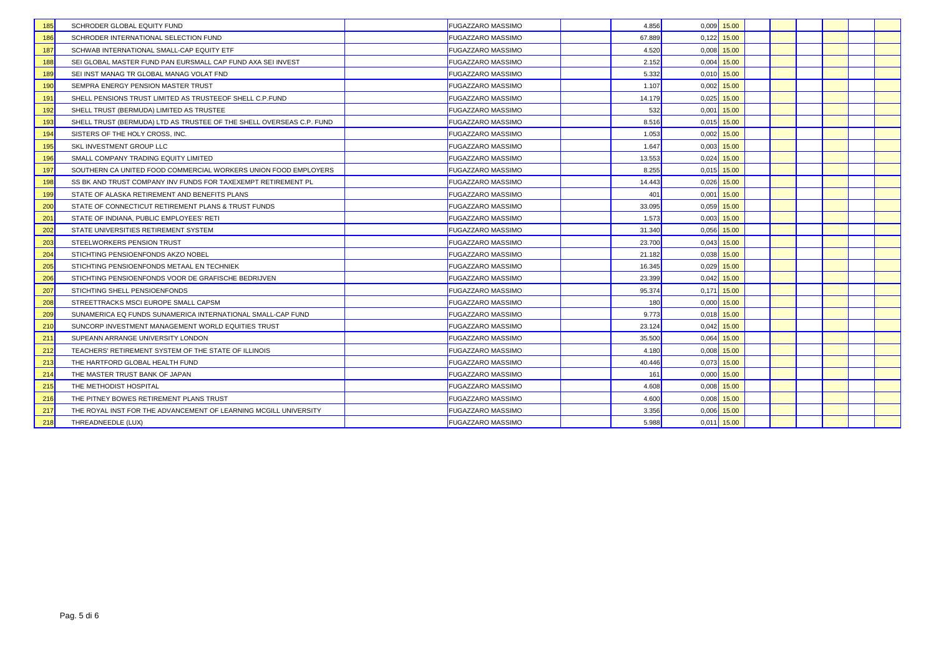| 185 | SCHRODER GLOBAL EQUITY FUND                                          | <b>FUGAZZARO MASSIMO</b> | 4.856  |       | $0,009$ 15.00 |  |  |  |
|-----|----------------------------------------------------------------------|--------------------------|--------|-------|---------------|--|--|--|
| 186 | SCHRODER INTERNATIONAL SELECTION FUND                                | <b>FUGAZZARO MASSIMO</b> | 67.889 |       | $0,122$ 15.00 |  |  |  |
| 187 | SCHWAB INTERNATIONAL SMALL-CAP EQUITY ETF                            | <b>FUGAZZARO MASSIMO</b> | 4.520  |       | $0.008$ 15.00 |  |  |  |
| 188 | SEI GLOBAL MASTER FUND PAN EURSMALL CAP FUND AXA SEI INVEST          | <b>FUGAZZARO MASSIMO</b> | 2.152  |       | $0,004$ 15.00 |  |  |  |
| 189 | SEI INST MANAG TR GLOBAL MANAG VOLAT FND                             | <b>FUGAZZARO MASSIMO</b> | 5.332  |       | $0.010$ 15.00 |  |  |  |
| 190 | SEMPRA ENERGY PENSION MASTER TRUST                                   | <b>FUGAZZARO MASSIMO</b> | 1.107  |       | $0.002$ 15.00 |  |  |  |
| 191 | SHELL PENSIONS TRUST LIMITED AS TRUSTEEOF SHELL C.P. FUND            | <b>FUGAZZARO MASSIMO</b> | 14.179 | 0,025 | 15.00         |  |  |  |
| 192 | SHELL TRUST (BERMUDA) LIMITED AS TRUSTEE                             | <b>FUGAZZARO MASSIMO</b> | 532    |       | $0,001$ 15.00 |  |  |  |
| 193 | SHELL TRUST (BERMUDA) LTD AS TRUSTEE OF THE SHELL OVERSEAS C.P. FUND | <b>FUGAZZARO MASSIMO</b> | 8.516  |       | $0.015$ 15.00 |  |  |  |
| 194 | SISTERS OF THE HOLY CROSS, INC.                                      | <b>FUGAZZARO MASSIMO</b> | 1.053  |       | $0.002$ 15.00 |  |  |  |
| 195 | SKL INVESTMENT GROUP LLC                                             | <b>FUGAZZARO MASSIMO</b> | 1.647  |       | $0,003$ 15.00 |  |  |  |
| 196 | SMALL COMPANY TRADING EQUITY LIMITED                                 | <b>FUGAZZARO MASSIMO</b> | 13.553 | 0.024 | 15.00         |  |  |  |
| 197 | SOUTHERN CA UNITED FOOD COMMERCIAL WORKERS UNION FOOD EMPLOYERS      | <b>FUGAZZARO MASSIMO</b> | 8.255  |       | $0.015$ 15.00 |  |  |  |
| 198 | SS BK AND TRUST COMPANY INV FUNDS FOR TAXEXEMPT RETIREMENT PL        | <b>FUGAZZARO MASSIMO</b> | 14.443 |       | $0.026$ 15.00 |  |  |  |
| 199 | STATE OF ALASKA RETIREMENT AND BENEFITS PLANS                        | <b>FUGAZZARO MASSIMO</b> | 401    | 0.001 | 15.00         |  |  |  |
| 200 | STATE OF CONNECTICUT RETIREMENT PLANS & TRUST FUNDS                  | <b>FUGAZZARO MASSIMO</b> | 33.095 | 0,059 | 15.00         |  |  |  |
| 201 | STATE OF INDIANA, PUBLIC EMPLOYEES' RETI                             | <b>FUGAZZARO MASSIMO</b> | 1.573  | 0,003 | 15.00         |  |  |  |
| 202 | STATE UNIVERSITIES RETIREMENT SYSTEM                                 | <b>FUGAZZARO MASSIMO</b> | 31.340 | 0,056 | 15.00         |  |  |  |
| 203 | STEELWORKERS PENSION TRUST                                           | <b>FUGAZZARO MASSIMO</b> | 23,700 |       | $0.043$ 15.00 |  |  |  |
| 204 | STICHTING PENSIOENFONDS AKZO NOBEL                                   | <b>FUGAZZARO MASSIMO</b> | 21.182 |       | $0.038$ 15.00 |  |  |  |
| 205 | STICHTING PENSIOENFONDS METAAL EN TECHNIEK                           | FUGAZZARO MASSIMO        | 16.345 | 0.029 | 15.00         |  |  |  |
| 206 | STICHTING PENSIOENFONDS VOOR DE GRAFISCHE BEDRIJVEN                  | FUGAZZARO MASSIMO        | 23.399 |       | $0,042$ 15.00 |  |  |  |
| 207 | STICHTING SHELL PENSIOENFONDS                                        | <b>FUGAZZARO MASSIMO</b> | 95.374 |       | $0,171$ 15.00 |  |  |  |
| 208 | STREETTRACKS MSCI EUROPE SMALL CAPSM                                 | <b>FUGAZZARO MASSIMO</b> | 180    |       | $0,000$ 15.00 |  |  |  |
| 209 | SUNAMERICA EQ FUNDS SUNAMERICA INTERNATIONAL SMALL-CAP FUND          | <b>FUGAZZARO MASSIMO</b> | 9.773  |       | $0.018$ 15.00 |  |  |  |
| 210 | SUNCORP INVESTMENT MANAGEMENT WORLD EQUITIES TRUST                   | <b>FUGAZZARO MASSIMO</b> | 23.124 |       | $0,042$ 15.00 |  |  |  |
| 211 | SUPEANN ARRANGE UNIVERSITY LONDON                                    | <b>FUGAZZARO MASSIMO</b> | 35.500 | 0,064 | 15.00         |  |  |  |
| 212 | TEACHERS' RETIREMENT SYSTEM OF THE STATE OF ILLINOIS                 | <b>FUGAZZARO MASSIMO</b> | 4.180  |       | $0,008$ 15.00 |  |  |  |
| 213 | THE HARTFORD GLOBAL HEALTH FUND                                      | <b>FUGAZZARO MASSIMO</b> | 40.446 |       | $0.073$ 15.00 |  |  |  |
| 214 | THE MASTER TRUST BANK OF JAPAN                                       | <b>FUGAZZARO MASSIMO</b> | 161    |       | $0,000$ 15.00 |  |  |  |
| 215 | THE METHODIST HOSPITAL                                               | <b>FUGAZZARO MASSIMO</b> | 4.608  |       | $0.008$ 15.00 |  |  |  |
| 216 | THE PITNEY BOWES RETIREMENT PLANS TRUST                              | <b>FUGAZZARO MASSIMO</b> | 4.600  |       | $0,008$ 15.00 |  |  |  |
| 217 | THE ROYAL INST FOR THE ADVANCEMENT OF LEARNING MCGILL UNIVERSITY     | <b>FUGAZZARO MASSIMO</b> | 3.356  | 0,006 | 15.00         |  |  |  |
| 218 | THREADNEEDLE (LUX)                                                   | <b>FUGAZZARO MASSIMO</b> | 5.988  |       | $0.011$ 15.00 |  |  |  |
|     |                                                                      |                          |        |       |               |  |  |  |